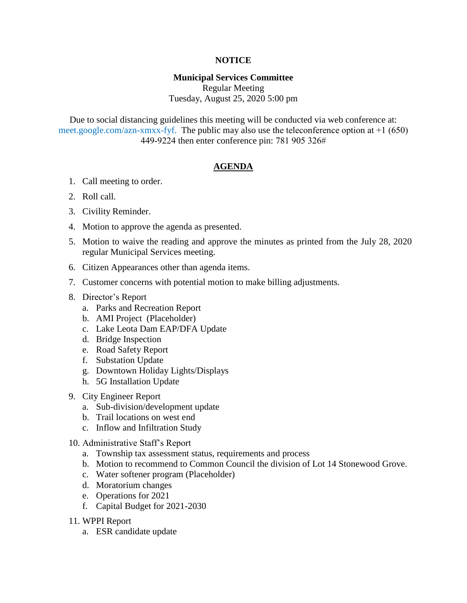## **NOTICE**

## **Municipal Services Committee**

Regular Meeting Tuesday, August 25, 2020 5:00 pm

Due to social distancing guidelines this meeting will be conducted via web conference at: meet.google.com/azn-xmxx-fyf. The public may also use the teleconference option at +1 (650) 449-9224 then enter conference pin: 781 905 326#

## **AGENDA**

- 1. Call meeting to order.
- 2. Roll call.
- 3. Civility Reminder.
- 4. Motion to approve the agenda as presented.
- 5. Motion to waive the reading and approve the minutes as printed from the July 28, 2020 regular Municipal Services meeting.
- 6. Citizen Appearances other than agenda items.
- 7. Customer concerns with potential motion to make billing adjustments.
- 8. Director's Report
	- a. Parks and Recreation Report
	- b. AMI Project (Placeholder)
	- c. Lake Leota Dam EAP/DFA Update
	- d. Bridge Inspection
	- e. Road Safety Report
	- f. Substation Update
	- g. Downtown Holiday Lights/Displays
	- h. 5G Installation Update
- 9. City Engineer Report
	- a. Sub-division/development update
	- b. Trail locations on west end
	- c. Inflow and Infiltration Study
- 10. Administrative Staff's Report
	- a. Township tax assessment status, requirements and process
	- b. Motion to recommend to Common Council the division of Lot 14 Stonewood Grove.
	- c. Water softener program (Placeholder)
	- d. Moratorium changes
	- e. Operations for 2021
	- f. Capital Budget for 2021-2030
- 11. WPPI Report
	- a. ESR candidate update